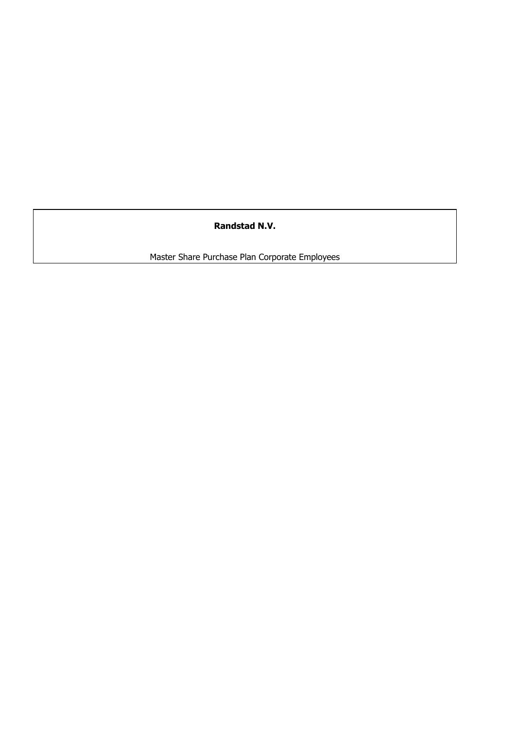**Randstad N.V.**

Master Share Purchase Plan Corporate Employees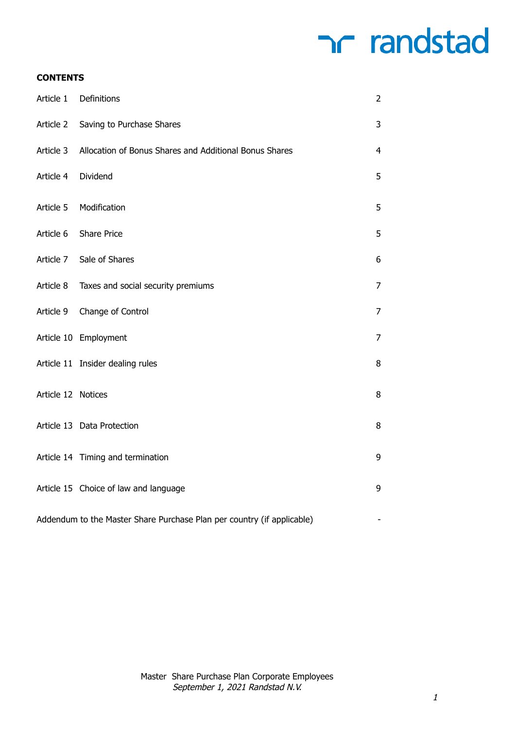### **CONTENTS**

| Article 1          | Definitions                                                            | $\overline{2}$ |
|--------------------|------------------------------------------------------------------------|----------------|
| Article 2          | Saving to Purchase Shares                                              | 3              |
| Article 3          | Allocation of Bonus Shares and Additional Bonus Shares                 | 4              |
| Article 4          | Dividend                                                               | 5              |
| Article 5          | Modification                                                           | 5              |
| Article 6          | <b>Share Price</b>                                                     | 5              |
| Article 7          | Sale of Shares                                                         | 6              |
| Article 8          | Taxes and social security premiums                                     | 7              |
| Article 9          | Change of Control                                                      | 7              |
|                    | Article 10 Employment                                                  | 7              |
|                    | Article 11 Insider dealing rules                                       | 8              |
| Article 12 Notices |                                                                        | 8              |
|                    | Article 13 Data Protection                                             | 8              |
|                    | Article 14 Timing and termination                                      | 9              |
|                    | Article 15 Choice of law and language                                  | 9              |
|                    | Addendum to the Master Share Purchase Plan per country (if applicable) |                |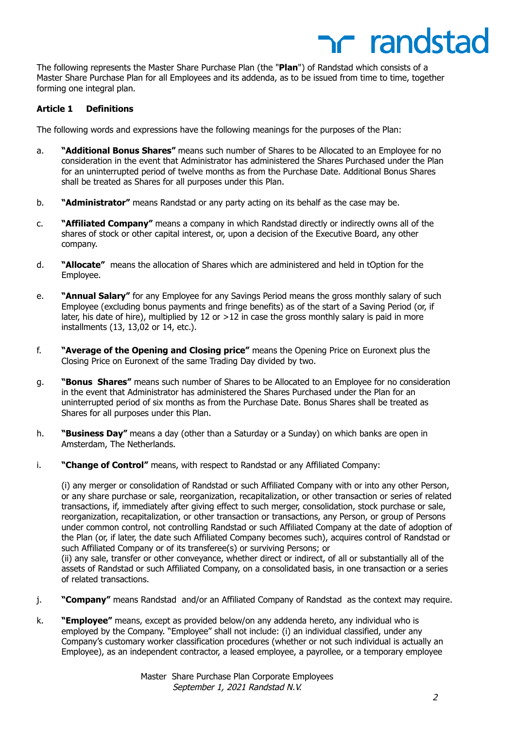The following represents the Master Share Purchase Plan (the "**Plan**") of Randstad which consists of a Master Share Purchase Plan for all Employees and its addenda, as to be issued from time to time, together forming one integral plan.

### **Article 1 Definitions**

The following words and expressions have the following meanings for the purposes of the Plan:

- a. **"Additional Bonus Shares"** means such number of Shares to be Allocated to an Employee for no consideration in the event that Administrator has administered the Shares Purchased under the Plan for an uninterrupted period of twelve months as from the Purchase Date. Additional Bonus Shares shall be treated as Shares for all purposes under this Plan.
- b. **"Administrator"** means Randstad or any party acting on its behalf as the case may be.
- c. **"Affiliated Company"** means a company in which Randstad directly or indirectly owns all of the shares of stock or other capital interest, or, upon a decision of the Executive Board, any other company.
- d. **"Allocate"** means the allocation of Shares which are administered and held in tOption for the Employee.
- e. **"Annual Salary"** for any Employee for any Savings Period means the gross monthly salary of such Employee (excluding bonus payments and fringe benefits) as of the start of a Saving Period (or, if later, his date of hire), multiplied by 12 or >12 in case the gross monthly salary is paid in more installments (13, 13,02 or 14, etc.).
- f. **"Average of the Opening and Closing price"** means the Opening Price on Euronext plus the Closing Price on Euronext of the same Trading Day divided by two.
- g. **"Bonus Shares"** means such number of Shares to be Allocated to an Employee for no consideration in the event that Administrator has administered the Shares Purchased under the Plan for an uninterrupted period of six months as from the Purchase Date. Bonus Shares shall be treated as Shares for all purposes under this Plan.
- h. **"Business Day"** means a day (other than a Saturday or a Sunday) on which banks are open in Amsterdam, The Netherlands.
- i. **"Change of Control"** means, with respect to Randstad or any Affiliated Company:

(i) any merger or consolidation of Randstad or such Affiliated Company with or into any other Person, or any share purchase or sale, reorganization, recapitalization, or other transaction or series of related transactions, if, immediately after giving effect to such merger, consolidation, stock purchase or sale, reorganization, recapitalization, or other transaction or transactions, any Person, or group of Persons under common control, not controlling Randstad or such Affiliated Company at the date of adoption of the Plan (or, if later, the date such Affiliated Company becomes such), acquires control of Randstad or such Affiliated Company or of its transferee(s) or surviving Persons; or

(ii) any sale, transfer or other conveyance, whether direct or indirect, of all or substantially all of the assets of Randstad or such Affiliated Company, on a consolidated basis, in one transaction or a series of related transactions.

- j. **"Company"** means Randstad and/or an Affiliated Company of Randstad as the context may require.
- k. **"Employee"** means, except as provided below/on any addenda hereto, any individual who is employed by the Company. "Employee" shall not include: (i) an individual classified, under any Company's customary worker classification procedures (whether or not such individual is actually an Employee), as an independent contractor, a leased employee, a payrollee, or a temporary employee

r randstad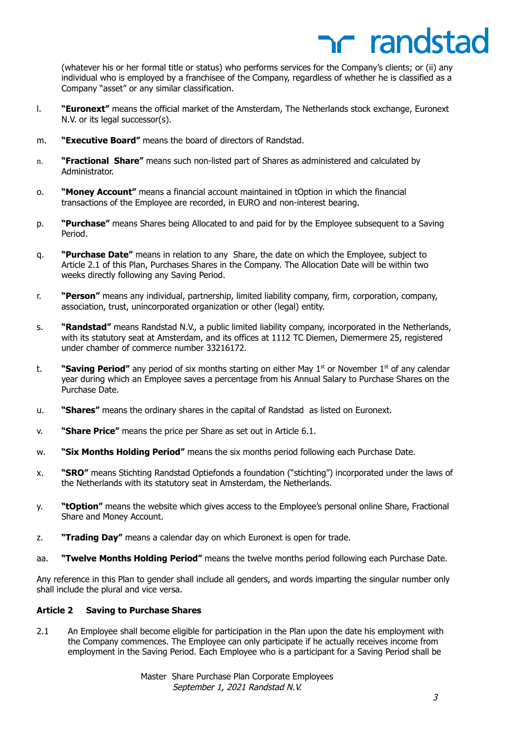(whatever his or her formal title or status) who performs services for the Company's clients; or (ii) any individual who is employed by a franchisee of the Company, regardless of whether he is classified as a Company "asset" or any similar classification.

- l. **"Euronext"** means the official market of the Amsterdam, The Netherlands stock exchange, Euronext N.V. or its legal successor(s).
- m. **"Executive Board"** means the board of directors of Randstad.
- n. **"Fractional Share"** means such non-listed part of Shares as administered and calculated by Administrator.
- o. **"Money Account"** means a financial account maintained in tOption in which the financial transactions of the Employee are recorded, in EURO and non-interest bearing.
- p. **"Purchase"** means Shares being Allocated to and paid for by the Employee subsequent to a Saving Period.
- q. **"Purchase Date"** means in relation to any Share, the date on which the Employee, subject to Article 2.1 of this Plan, Purchases Shares in the Company. The Allocation Date will be within two weeks directly following any Saving Period.
- r. **"Person"** means any individual, partnership, limited liability company, firm, corporation, company, association, trust, unincorporated organization or other (legal) entity.
- s. **"Randstad"** means Randstad N.V., a public limited liability company, incorporated in the Netherlands, with its statutory seat at Amsterdam, and its offices at 1112 TC Diemen, Diemermere 25, registered under chamber of commerce number 33216172.
- t. **"Saving Period"** any period of six months starting on either May 1<sup>st</sup> or November 1<sup>st</sup> of any calendar year during which an Employee saves a percentage from his Annual Salary to Purchase Shares on the Purchase Date.
- u. **"Shares"** means the ordinary shares in the capital of Randstad as listed on Euronext.
- v. **"Share Price"** means the price per Share as set out in Article 6.1.
- w. **"Six Months Holding Period"** means the six months period following each Purchase Date.
- x. **"SRO"** means Stichting Randstad Optiefonds a foundation ("stichting") incorporated under the laws of the Netherlands with its statutory seat in Amsterdam, the Netherlands.
- y. **"tOption"** means the website which gives access to the Employee's personal online Share, Fractional Share and Money Account.
- z. **"Trading Day"** means a calendar day on which Euronext is open for trade.
- aa. **"Twelve Months Holding Period"** means the twelve months period following each Purchase Date.

Any reference in this Plan to gender shall include all genders, and words imparting the singular number only shall include the plural and vice versa.

### **Article 2 Saving to Purchase Shares**

2.1 An Employee shall become eligible for participation in the Plan upon the date his employment with the Company commences. The Employee can only participate if he actually receives income from employment in the Saving Period. Each Employee who is a participant for a Saving Period shall be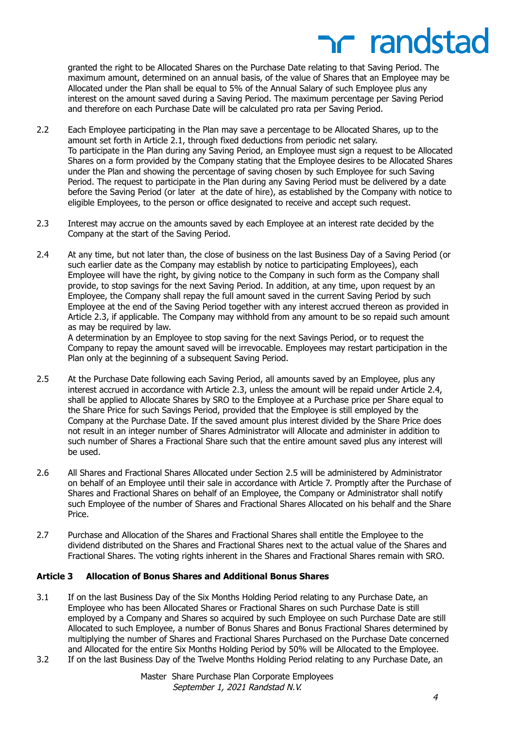# **net randstad**

granted the right to be Allocated Shares on the Purchase Date relating to that Saving Period. The maximum amount, determined on an annual basis, of the value of Shares that an Employee may be Allocated under the Plan shall be equal to 5% of the Annual Salary of such Employee plus any interest on the amount saved during a Saving Period. The maximum percentage per Saving Period and therefore on each Purchase Date will be calculated pro rata per Saving Period.

- 2.2 Each Employee participating in the Plan may save a percentage to be Allocated Shares, up to the amount set forth in Article 2.1, through fixed deductions from periodic net salary. To participate in the Plan during any Saving Period, an Employee must sign a request to be Allocated Shares on a form provided by the Company stating that the Employee desires to be Allocated Shares under the Plan and showing the percentage of saving chosen by such Employee for such Saving Period. The request to participate in the Plan during any Saving Period must be delivered by a date before the Saving Period (or later at the date of hire), as established by the Company with notice to eligible Employees, to the person or office designated to receive and accept such request.
- 2.3 Interest may accrue on the amounts saved by each Employee at an interest rate decided by the Company at the start of the Saving Period.
- 2.4 At any time, but not later than, the close of business on the last Business Day of a Saving Period (or such earlier date as the Company may establish by notice to participating Employees), each Employee will have the right, by giving notice to the Company in such form as the Company shall provide, to stop savings for the next Saving Period. In addition, at any time, upon request by an Employee, the Company shall repay the full amount saved in the current Saving Period by such Employee at the end of the Saving Period together with any interest accrued thereon as provided in Article 2.3, if applicable. The Company may withhold from any amount to be so repaid such amount as may be required by law.

A determination by an Employee to stop saving for the next Savings Period, or to request the Company to repay the amount saved will be irrevocable. Employees may restart participation in the Plan only at the beginning of a subsequent Saving Period.

- 2.5 At the Purchase Date following each Saving Period, all amounts saved by an Employee, plus any interest accrued in accordance with Article 2.3, unless the amount will be repaid under Article 2.4, shall be applied to Allocate Shares by SRO to the Employee at a Purchase price per Share equal to the Share Price for such Savings Period, provided that the Employee is still employed by the Company at the Purchase Date. If the saved amount plus interest divided by the Share Price does not result in an integer number of Shares Administrator will Allocate and administer in addition to such number of Shares a Fractional Share such that the entire amount saved plus any interest will be used.
- 2.6 All Shares and Fractional Shares Allocated under Section 2.5 will be administered by Administrator on behalf of an Employee until their sale in accordance with Article 7. Promptly after the Purchase of Shares and Fractional Shares on behalf of an Employee, the Company or Administrator shall notify such Employee of the number of Shares and Fractional Shares Allocated on his behalf and the Share Price.
- 2.7 Purchase and Allocation of the Shares and Fractional Shares shall entitle the Employee to the dividend distributed on the Shares and Fractional Shares next to the actual value of the Shares and Fractional Shares. The voting rights inherent in the Shares and Fractional Shares remain with SRO.

### **Article 3 Allocation of Bonus Shares and Additional Bonus Shares**

- 3.1 If on the last Business Day of the Six Months Holding Period relating to any Purchase Date, an Employee who has been Allocated Shares or Fractional Shares on such Purchase Date is still employed by a Company and Shares so acquired by such Employee on such Purchase Date are still Allocated to such Employee, a number of Bonus Shares and Bonus Fractional Shares determined by multiplying the number of Shares and Fractional Shares Purchased on the Purchase Date concerned and Allocated for the entire Six Months Holding Period by 50% will be Allocated to the Employee. 3.2 If on the last Business Day of the Twelve Months Holding Period relating to any Purchase Date, an
-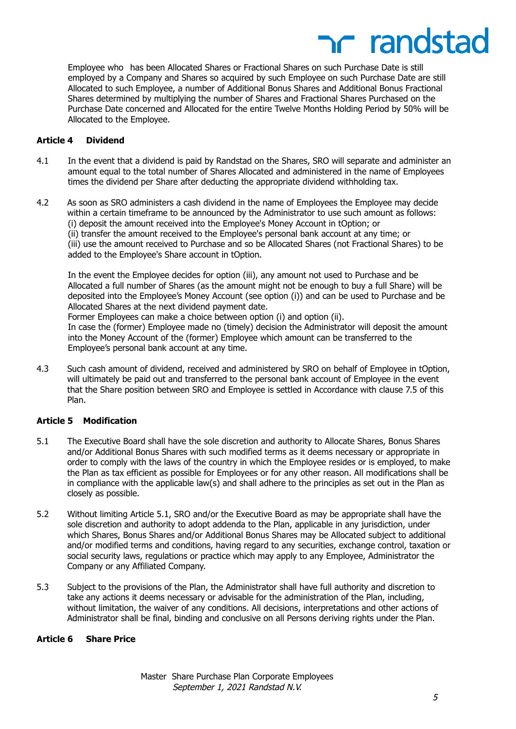Employee who has been Allocated Shares or Fractional Shares on such Purchase Date is still employed by a Company and Shares so acquired by such Employee on such Purchase Date are still Allocated to such Employee, a number of Additional Bonus Shares and Additional Bonus Fractional Shares determined by multiplying the number of Shares and Fractional Shares Purchased on the Purchase Date concerned and Allocated for the entire Twelve Months Holding Period by 50% will be Allocated to the Employee.

### **Article 4 Dividend**

- 4.1 In the event that a dividend is paid by Randstad on the Shares, SRO will separate and administer an amount equal to the total number of Shares Allocated and administered in the name of Employees times the dividend per Share after deducting the appropriate dividend withholding tax.
- 4.2 As soon as SRO administers a cash dividend in the name of Employees the Employee may decide within a certain timeframe to be announced by the Administrator to use such amount as follows: (i) deposit the amount received into the Employee's Money Account in tOption; or (ii) transfer the amount received to the Employee's personal bank account at any time; or (iii) use the amount received to Purchase and so be Allocated Shares (not Fractional Shares) to be added to the Employee's Share account in tOption.

In the event the Employee decides for option (iii), any amount not used to Purchase and be Allocated a full number of Shares (as the amount might not be enough to buy a full Share) will be deposited into the Employee's Money Account (see option (i)) and can be used to Purchase and be Allocated Shares at the next dividend payment date.

Former Employees can make a choice between option (i) and option (ii). In case the (former) Employee made no (timely) decision the Administrator will deposit the amount into the Money Account of the (former) Employee which amount can be transferred to the Employee's personal bank account at any time.

4.3 Such cash amount of dividend, received and administered by SRO on behalf of Employee in tOption, will ultimately be paid out and transferred to the personal bank account of Employee in the event that the Share position between SRO and Employee is settled in Accordance with clause 7.5 of this Plan.

### **Article 5 Modification**

- 5.1 The Executive Board shall have the sole discretion and authority to Allocate Shares, Bonus Shares and/or Additional Bonus Shares with such modified terms as it deems necessary or appropriate in order to comply with the laws of the country in which the Employee resides or is employed, to make the Plan as tax efficient as possible for Employees or for any other reason. All modifications shall be in compliance with the applicable law(s) and shall adhere to the principles as set out in the Plan as closely as possible.
- 5.2 Without limiting Article 5.1, SRO and/or the Executive Board as may be appropriate shall have the sole discretion and authority to adopt addenda to the Plan, applicable in any jurisdiction, under which Shares, Bonus Shares and/or Additional Bonus Shares may be Allocated subject to additional and/or modified terms and conditions, having regard to any securities, exchange control, taxation or social security laws, regulations or practice which may apply to any Employee, Administrator the Company or any Affiliated Company.
- 5.3 Subject to the provisions of the Plan, the Administrator shall have full authority and discretion to take any actions it deems necessary or advisable for the administration of the Plan, including, without limitation, the waiver of any conditions. All decisions, interpretations and other actions of Administrator shall be final, binding and conclusive on all Persons deriving rights under the Plan.

### **Article 6 Share Price**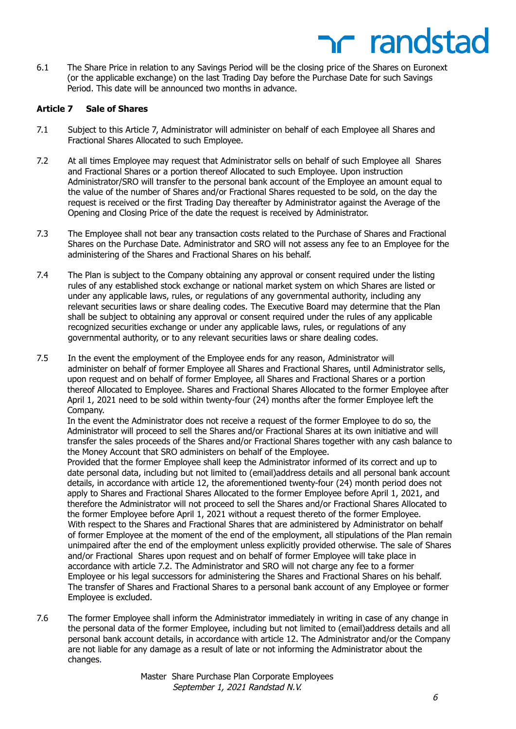6.1 The Share Price in relation to any Savings Period will be the closing price of the Shares on Euronext (or the applicable exchange) on the last Trading Day before the Purchase Date for such Savings Period. This date will be announced two months in advance.

### **Article 7 Sale of Shares**

- 7.1 Subject to this Article 7, Administrator will administer on behalf of each Employee all Shares and Fractional Shares Allocated to such Employee.
- 7.2 At all times Employee may request that Administrator sells on behalf of such Employee all Shares and Fractional Shares or a portion thereof Allocated to such Employee. Upon instruction Administrator/SRO will transfer to the personal bank account of the Employee an amount equal to the value of the number of Shares and/or Fractional Shares requested to be sold, on the day the request is received or the first Trading Day thereafter by Administrator against the Average of the Opening and Closing Price of the date the request is received by Administrator.
- 7.3 The Employee shall not bear any transaction costs related to the Purchase of Shares and Fractional Shares on the Purchase Date. Administrator and SRO will not assess any fee to an Employee for the administering of the Shares and Fractional Shares on his behalf.
- 7.4 The Plan is subject to the Company obtaining any approval or consent required under the listing rules of any established stock exchange or national market system on which Shares are listed or under any applicable laws, rules, or regulations of any governmental authority, including any relevant securities laws or share dealing codes. The Executive Board may determine that the Plan shall be subject to obtaining any approval or consent required under the rules of any applicable recognized securities exchange or under any applicable laws, rules, or regulations of any governmental authority, or to any relevant securities laws or share dealing codes.
- 7.5 In the event the employment of the Employee ends for any reason, Administrator will administer on behalf of former Employee all Shares and Fractional Shares, until Administrator sells, upon request and on behalf of former Employee, all Shares and Fractional Shares or a portion thereof Allocated to Employee. Shares and Fractional Shares Allocated to the former Employee after April 1, 2021 need to be sold within twenty-four (24) months after the former Employee left the Company.

In the event the Administrator does not receive a request of the former Employee to do so, the Administrator will proceed to sell the Shares and/or Fractional Shares at its own initiative and will transfer the sales proceeds of the Shares and/or Fractional Shares together with any cash balance to the Money Account that SRO administers on behalf of the Employee.

Provided that the former Employee shall keep the Administrator informed of its correct and up to date personal data, including but not limited to (email)address details and all personal bank account details, in accordance with article 12, the aforementioned twenty-four (24) month period does not apply to Shares and Fractional Shares Allocated to the former Employee before April 1, 2021, and therefore the Administrator will not proceed to sell the Shares and/or Fractional Shares Allocated to the former Employee before April 1, 2021 without a request thereto of the former Employee. With respect to the Shares and Fractional Shares that are administered by Administrator on behalf of former Employee at the moment of the end of the employment, all stipulations of the Plan remain unimpaired after the end of the employment unless explicitly provided otherwise. The sale of Shares and/or Fractional Shares upon request and on behalf of former Employee will take place in accordance with article 7.2. The Administrator and SRO will not charge any fee to a former Employee or his legal successors for administering the Shares and Fractional Shares on his behalf. The transfer of Shares and Fractional Shares to a personal bank account of any Employee or former Employee is excluded.

7.6 The former Employee shall inform the Administrator immediately in writing in case of any change in the personal data of the former Employee, including but not limited to (email)address details and all personal bank account details, in accordance with article 12. The Administrator and/or the Company are not liable for any damage as a result of late or not informing the Administrator about the changes.

> Master Share Purchase Plan Corporate Employees September 1, 2021 Randstad N.V.

**net randstad**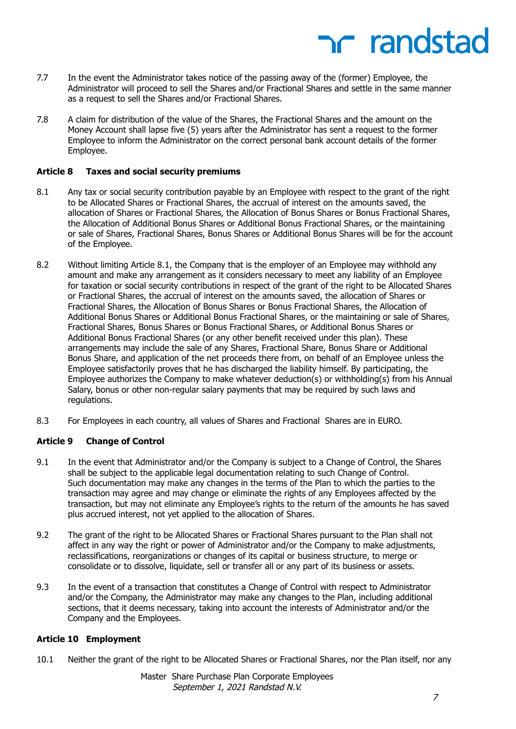### nc randstad

- 7.7 In the event the Administrator takes notice of the passing away of the (former) Employee, the Administrator will proceed to sell the Shares and/or Fractional Shares and settle in the same manner as a request to sell the Shares and/or Fractional Shares.
- 7.8 A claim for distribution of the value of the Shares, the Fractional Shares and the amount on the Money Account shall lapse five (5) years after the Administrator has sent a request to the former Employee to inform the Administrator on the correct personal bank account details of the former Employee.

### **Article 8 Taxes and social security premiums**

- 8.1 Any tax or social security contribution payable by an Employee with respect to the grant of the right to be Allocated Shares or Fractional Shares, the accrual of interest on the amounts saved, the allocation of Shares or Fractional Shares, the Allocation of Bonus Shares or Bonus Fractional Shares, the Allocation of Additional Bonus Shares or Additional Bonus Fractional Shares, or the maintaining or sale of Shares, Fractional Shares, Bonus Shares or Additional Bonus Shares will be for the account of the Employee.
- 8.2 Without limiting Article 8.1, the Company that is the employer of an Employee may withhold any amount and make any arrangement as it considers necessary to meet any liability of an Employee for taxation or social security contributions in respect of the grant of the right to be Allocated Shares or Fractional Shares, the accrual of interest on the amounts saved, the allocation of Shares or Fractional Shares, the Allocation of Bonus Shares or Bonus Fractional Shares, the Allocation of Additional Bonus Shares or Additional Bonus Fractional Shares, or the maintaining or sale of Shares, Fractional Shares, Bonus Shares or Bonus Fractional Shares, or Additional Bonus Shares or Additional Bonus Fractional Shares (or any other benefit received under this plan). These arrangements may include the sale of any Shares, Fractional Share, Bonus Share or Additional Bonus Share, and application of the net proceeds there from, on behalf of an Employee unless the Employee satisfactorily proves that he has discharged the liability himself. By participating, the Employee authorizes the Company to make whatever deduction(s) or withholding(s) from his Annual Salary, bonus or other non-regular salary payments that may be required by such laws and regulations.
- 8.3 For Employees in each country, all values of Shares and Fractional Shares are in EURO.

### **Article 9 Change of Control**

- 9.1 In the event that Administrator and/or the Company is subject to a Change of Control, the Shares shall be subject to the applicable legal documentation relating to such Change of Control. Such documentation may make any changes in the terms of the Plan to which the parties to the transaction may agree and may change or eliminate the rights of any Employees affected by the transaction, but may not eliminate any Employee's rights to the return of the amounts he has saved plus accrued interest, not yet applied to the allocation of Shares.
- 9.2 The grant of the right to be Allocated Shares or Fractional Shares pursuant to the Plan shall not affect in any way the right or power of Administrator and/or the Company to make adjustments, reclassifications, reorganizations or changes of its capital or business structure, to merge or consolidate or to dissolve, liquidate, sell or transfer all or any part of its business or assets.
- 9.3 In the event of a transaction that constitutes a Change of Control with respect to Administrator and/or the Company, the Administrator may make any changes to the Plan, including additional sections, that it deems necessary, taking into account the interests of Administrator and/or the Company and the Employees.

### **Article 10 Employment**

10.1 Neither the grant of the right to be Allocated Shares or Fractional Shares, nor the Plan itself, nor any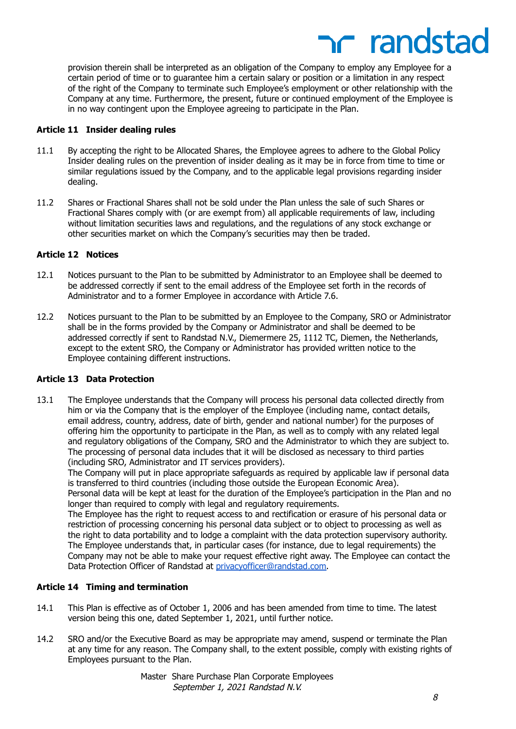# **net randstad**

provision therein shall be interpreted as an obligation of the Company to employ any Employee for a certain period of time or to guarantee him a certain salary or position or a limitation in any respect of the right of the Company to terminate such Employee's employment or other relationship with the Company at any time. Furthermore, the present, future or continued employment of the Employee is in no way contingent upon the Employee agreeing to participate in the Plan.

### **Article 11 Insider dealing rules**

- 11.1 By accepting the right to be Allocated Shares, the Employee agrees to adhere to the Global Policy Insider dealing rules on the prevention of insider dealing as it may be in force from time to time or similar regulations issued by the Company, and to the applicable legal provisions regarding insider dealing.
- 11.2 Shares or Fractional Shares shall not be sold under the Plan unless the sale of such Shares or Fractional Shares comply with (or are exempt from) all applicable requirements of law, including without limitation securities laws and regulations, and the regulations of any stock exchange or other securities market on which the Company's securities may then be traded.

### **Article 12 Notices**

- 12.1 Notices pursuant to the Plan to be submitted by Administrator to an Employee shall be deemed to be addressed correctly if sent to the email address of the Employee set forth in the records of Administrator and to a former Employee in accordance with Article 7.6.
- 12.2 Notices pursuant to the Plan to be submitted by an Employee to the Company, SRO or Administrator shall be in the forms provided by the Company or Administrator and shall be deemed to be addressed correctly if sent to Randstad N.V., Diemermere 25, 1112 TC, Diemen, the Netherlands, except to the extent SRO, the Company or Administrator has provided written notice to the Employee containing different instructions.

### **Article 13 Data Protection**

13.1 The Employee understands that the Company will process his personal data collected directly from him or via the Company that is the employer of the Employee (including name, contact details, email address, country, address, date of birth, gender and national number) for the purposes of offering him the opportunity to participate in the Plan, as well as to comply with any related legal and regulatory obligations of the Company, SRO and the Administrator to which they are subject to. The processing of personal data includes that it will be disclosed as necessary to third parties (including SRO, Administrator and IT services providers).

The Company will put in place appropriate safeguards as required by applicable law if personal data is transferred to third countries (including those outside the European Economic Area).

Personal data will be kept at least for the duration of the Employee's participation in the Plan and no longer than required to comply with legal and regulatory requirements.

The Employee has the right to request access to and rectification or erasure of his personal data or restriction of processing concerning his personal data subject or to object to processing as well as the right to data portability and to lodge a complaint with the data protection supervisory authority. The Employee understands that, in particular cases (for instance, due to legal requirements) the Company may not be able to make your request effective right away. The Employee can contact the Data Protection Officer of Randstad at [privacyofficer@randstad.com.](mailto:privacyofficer@randstad.com)

### **Article 14 Timing and termination**

- 14.1 This Plan is effective as of October 1, 2006 and has been amended from time to time. The latest version being this one, dated September 1, 2021, until further notice.
- 14.2 SRO and/or the Executive Board as may be appropriate may amend, suspend or terminate the Plan at any time for any reason. The Company shall, to the extent possible, comply with existing rights of Employees pursuant to the Plan.

Master Share Purchase Plan Corporate Employees September 1, 2021 Randstad N.V.